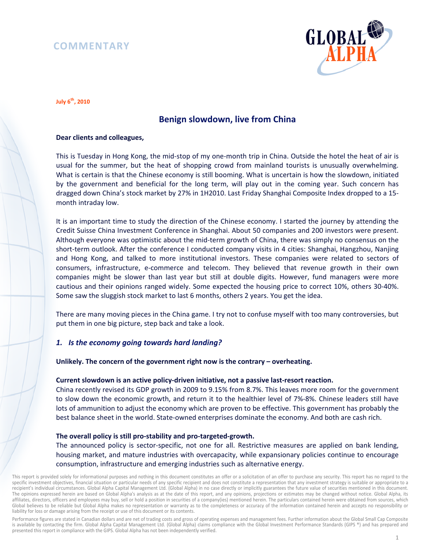# **COMMENTARY**



**July 6th, 2010** 

## **Benign slowdown, live from China**

## **Dear clients and colleagues,**

This is Tuesday in Hong Kong, the mid-stop of my one-month trip in China. Outside the hotel the heat of air is usual for the summer, but the heat of shopping crowd from mainland tourists is unusually overwhelming. What is certain is that the Chinese economy is still booming. What is uncertain is how the slowdown, initiated by the government and beneficial for the long term, will play out in the coming year. Such concern has dragged down China's stock market by 27% in 1H2010. Last Friday Shanghai Composite Index dropped to a 15 month intraday low.

It is an important time to study the direction of the Chinese economy. I started the journey by attending the Credit Suisse China Investment Conference in Shanghai. About 50 companies and 200 investors were present. Although everyone was optimistic about the mid-term growth of China, there was simply no consensus on the short-term outlook. After the conference I conducted company visits in 4 cities: Shanghai, Hangzhou, Nanjing and Hong Kong, and talked to more institutional investors. These companies were related to sectors of consumers, infrastructure, e-commerce and telecom. They believed that revenue growth in their own companies might be slower than last year but still at double digits. However, fund managers were more cautious and their opinions ranged widely. Some expected the housing price to correct 10%, others 30-40%. Some saw the sluggish stock market to last 6 months, others 2 years. You get the idea.

There are many moving pieces in the China game. I try not to confuse myself with too many controversies, but put them in one big picture, step back and take a look.

## *1. Is the economy going towards hard landing?*

#### **Unlikely. The concern of the government right now is the contrary – overheating.**

#### **Current slowdown is an active policy-driven initiative, not a passive last-resort reaction.**

China recently revised its GDP growth in 2009 to 9.15% from 8.7%. This leaves more room for the government to slow down the economic growth, and return it to the healthier level of 7%-8%. Chinese leaders still have lots of ammunition to adjust the economy which are proven to be effective. This government has probably the best balance sheet in the world. State-owned enterprises dominate the economy. And both are cash rich.

### **The overall policy is still pro-stability and pro-targeted-growth.**

The announced policy is sector-specific, not one for all. Restrictive measures are applied on bank lending, housing market, and mature industries with overcapacity, while expansionary policies continue to encourage consumption, infrastructure and emerging industries such as alternative energy.

Performance figures are stated in Canadian dollars and are net of trading costs and gross of operating expenses and management fees. Further information about the Global Small Cap Composite is available by contacting the firm. Global Alpha Capital Management Ltd. (Global Alpha) claims compliance with the Global Investment Performance Standards (GIPS ®) and has prepared and presented this report in compliance with the GIPS. Global Alpha has not been independently verified.

This report is provided solely for informational purposes and nothing in this document constitutes an offer or a solicitation of an offer to purchase any security. This report has no regard to the specific investment objectives, financial situation or particular needs of any specific recipient and does not constitute a representation that any investment strategy is suitable or appropriate to a recipient's individual circumstances. Global Alpha Capital Management Ltd. (Global Alpha) in no case directly or implicitly guarantees the future value of securities mentioned in this document. The opinions expressed herein are based on Global Alpha's analysis as at the date of this report, and any opinions, projections or estimates may be changed without notice. Global Alpha, its affiliates, directors, officers and employees may buy, sell or hold a position in securities of a company(ies) mentioned herein. The particulars contained herein were obtained from sources, which Global believes to be reliable but Global Alpha makes no representation or warranty as to the completeness or accuracy of the information contained herein and accepts no responsibility or liability for loss or damage arising from the receipt or use of this document or its contents.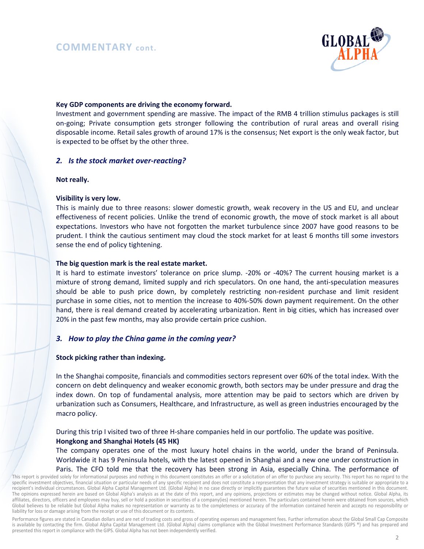## **COMMENTARY cont.**



#### **Key GDP components are driving the economy forward.**

Investment and government spending are massive. The impact of the RMB 4 trillion stimulus packages is still on-going; Private consumption gets stronger following the contribution of rural areas and overall rising disposable income. Retail sales growth of around 17% is the consensus; Net export is the only weak factor, but is expected to be offset by the other three.

## *2. Is the stock market over-reacting?*

#### **Not really.**

#### **Visibility is very low.**

This is mainly due to three reasons: slower domestic growth, weak recovery in the US and EU, and unclear effectiveness of recent policies. Unlike the trend of economic growth, the move of stock market is all about expectations. Investors who have not forgotten the market turbulence since 2007 have good reasons to be prudent. I think the cautious sentiment may cloud the stock market for at least 6 months till some investors sense the end of policy tightening.

#### **The big question mark is the real estate market.**

It is hard to estimate investors' tolerance on price slump. -20% or -40%? The current housing market is a mixture of strong demand, limited supply and rich speculators. On one hand, the anti-speculation measures should be able to push price down, by completely restricting non-resident purchase and limit resident purchase in some cities, not to mention the increase to 40%-50% down payment requirement. On the other hand, there is real demand created by accelerating urbanization. Rent in big cities, which has increased over 20% in the past few months, may also provide certain price cushion.

#### *3. How to play the China game in the coming year?*

#### **Stock picking rather than indexing.**

In the Shanghai composite, financials and commodities sectors represent over 60% of the total index. With the concern on debt delinquency and weaker economic growth, both sectors may be under pressure and drag the index down. On top of fundamental analysis, more attention may be paid to sectors which are driven by urbanization such as Consumers, Healthcare, and Infrastructure, as well as green industries encouraged by the macro policy.

During this trip I visited two of three H-share companies held in our portfolio. The update was positive. **Hongkong and Shanghai Hotels (45 HK)** 

The company operates one of the most luxury hotel chains in the world, under the brand of Peninsula. Worldwide it has 9 Peninsula hotels, with the latest opened in Shanghai and a new one under construction in Paris. The CFO told me that the recovery has been strong in Asia, especially China. The performance of

Performance figures are stated in Canadian dollars and are net of trading costs and gross of operating expenses and management fees. Further information about the Global Small Cap Composite is available by contacting the firm. Global Alpha Capital Management Ltd. (Global Alpha) claims compliance with the Global Investment Performance Standards (GIPS ®) and has prepared and presented this report in compliance with the GIPS. Global Alpha has not been independently verified.

This report is provided solely for informational purposes and nothing in this document constitutes an offer or a solicitation of an offer to purchase any security. This report has no regard to the specific investment objectives, financial situation or particular needs of any specific recipient and does not constitute a representation that any investment strategy is suitable or appropriate to a recipient's individual circumstances. Global Alpha Capital Management Ltd. (Global Alpha) in no case directly or implicitly guarantees the future value of securities mentioned in this document. The opinions expressed herein are based on Global Alpha's analysis as at the date of this report, and any opinions, projections or estimates may be changed without notice. Global Alpha, its affiliates, directors, officers and employees may buy, sell or hold a position in securities of a company(ies) mentioned herein. The particulars contained herein were obtained from sources, which Global believes to be reliable but Global Alpha makes no representation or warranty as to the completeness or accuracy of the information contained herein and accepts no responsibility or liability for loss or damage arising from the receipt or use of this document or its contents.